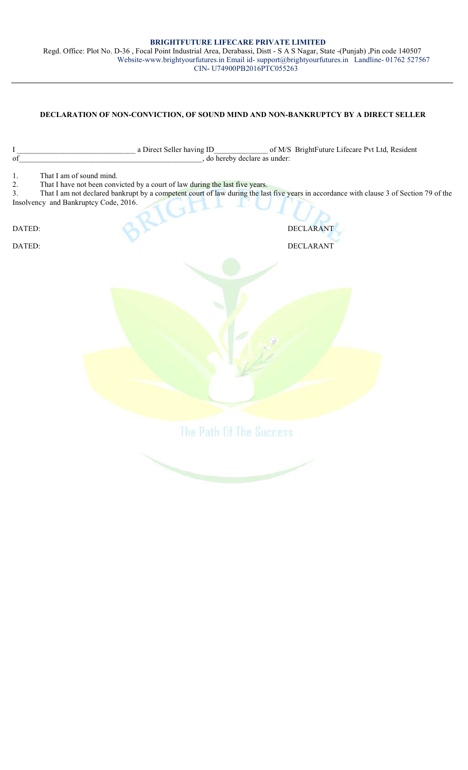## BRIGHTFUTURE LIFECARE PRIVATE LIMITED Regd. Office: Plot No. D-36 , Focal Point Industrial Area, Derabassi, Distt - S A S Nagar, State -(Punjab) ,Pin code 140507 Website-www.brightyourfutures.in Email id- support@brightyourfutures.in Landline- 01762 527567 CIN- U74900PB2016PTC055263

## DECLARATION OF NON-CONVICTION, OF SOUND MIND AND NON-BANKRUPTCY BY A DIRECT SELLER

| $\rm I$                  | a Direct Seller having ID<br>of M/S BrightFuture Lifecare Pvt Ltd, Resident                                                                                                                                                                                                                                      |
|--------------------------|------------------------------------------------------------------------------------------------------------------------------------------------------------------------------------------------------------------------------------------------------------------------------------------------------------------|
| of                       | , do hereby declare as under:                                                                                                                                                                                                                                                                                    |
| 1.<br>2.<br>3.<br>DATED: | That I am of sound mind.<br>That I have not been convicted by a court of law during the last five years.<br>That I am not declared bankrupt by a competent court of law during the last five years in accordance with clause 3 of Section 79 of the<br>Insolvency and Bankruptcy Code, 2016.<br><b>DECLARANT</b> |
| DATED:                   | <b>DECLARANT</b>                                                                                                                                                                                                                                                                                                 |
|                          |                                                                                                                                                                                                                                                                                                                  |
|                          |                                                                                                                                                                                                                                                                                                                  |
|                          |                                                                                                                                                                                                                                                                                                                  |
|                          | The Path Of The Success                                                                                                                                                                                                                                                                                          |
|                          |                                                                                                                                                                                                                                                                                                                  |